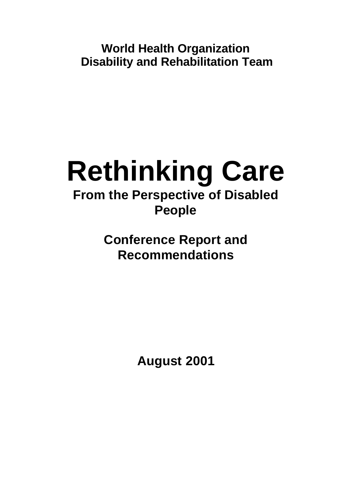**World Health Organization Disability and Rehabilitation Team**

# **Rethinking Care From the Perspective of Disabled People**

**Conference Report and Recommendations** 

**August 2001**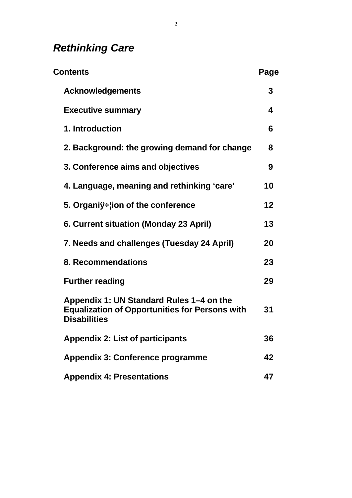# *Rethinking Care*

| Contents |                                                                                                                          | Page |
|----------|--------------------------------------------------------------------------------------------------------------------------|------|
|          | <b>Acknowledgements</b>                                                                                                  | 3    |
|          | <b>Executive summary</b>                                                                                                 | 4    |
|          | 1. Introduction                                                                                                          | 6    |
|          | 2. Background: the growing demand for change                                                                             | 8    |
|          | 3. Conference aims and objectives                                                                                        | 9    |
|          | 4. Language, meaning and rethinking 'care'                                                                               | 10   |
|          | 5. Organiÿ÷lion of the conference                                                                                        | 12   |
|          | 6. Current situation (Monday 23 April)                                                                                   | 13   |
|          | 7. Needs and challenges (Tuesday 24 April)                                                                               | 20   |
|          | 8. Recommendations                                                                                                       | 23   |
|          | <b>Further reading</b>                                                                                                   | 29   |
|          | Appendix 1: UN Standard Rules 1–4 on the<br><b>Equalization of Opportunities for Persons with</b><br><b>Disabilities</b> | 31   |
|          | <b>Appendix 2: List of participants</b>                                                                                  | 36   |
|          | Appendix 3: Conference programme                                                                                         | 42   |
|          | <b>Appendix 4: Presentations</b>                                                                                         | 47   |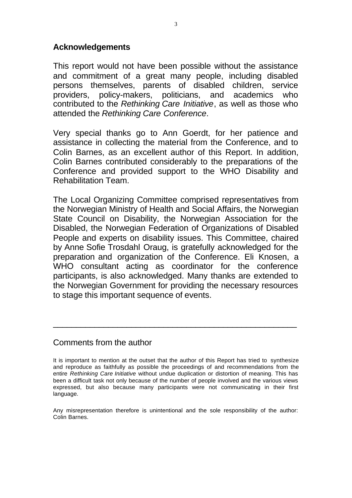#### **Acknowledgements**

This report would not have been possible without the assistance and commitment of a great many people, including disabled persons themselves, parents of disabled children, service providers, policy-makers, politicians, and academics who contributed to the *Rethinking Care Initiative*, as well as those who attended the *Rethinking Care Conference*.

Very special thanks go to Ann Goerdt, for her patience and assistance in collecting the material from the Conference, and to Colin Barnes, as an excellent author of this Report. In addition, Colin Barnes contributed considerably to the preparations of the Conference and provided support to the WHO Disability and Rehabilitation Team.

The Local Organizing Committee comprised representatives from the Norwegian Ministry of Health and Social Affairs, the Norwegian State Council on Disability, the Norwegian Association for the Disabled, the Norwegian Federation of Organizations of Disabled People and experts on disability issues. This Committee, chaired by Anne Sofie Trosdahl Oraug, is gratefully acknowledged for the preparation and organization of the Conference. Eli Knosen, a WHO consultant acting as coordinator for the conference participants, is also acknowledged. Many thanks are extended to the Norwegian Government for providing the necessary resources to stage this important sequence of events.

#### Comments from the author

\_\_\_\_\_\_\_\_\_\_\_\_\_\_\_\_\_\_\_\_\_\_\_\_\_\_\_\_\_\_\_\_\_\_\_\_\_\_\_\_\_\_\_\_\_\_\_\_\_\_\_\_\_

Any misrepresentation therefore is unintentional and the sole responsibility of the author: Colin Barnes.

It is important to mention at the outset that the author of this Report has tried to synthesize and reproduce as faithfully as possible the proceedings of and recommendations from the entire *Rethinking Care Initiative* without undue duplication or distortion of meaning. This has been a difficult task not only because of the number of people involved and the various views expressed, but also because many participants were not communicating in their first language.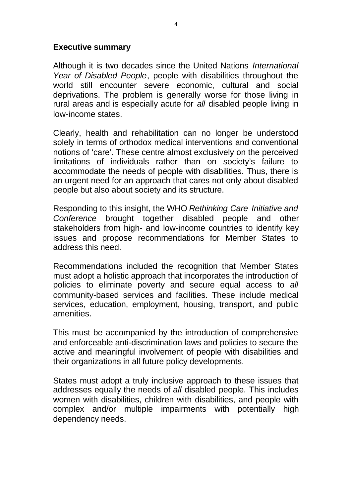#### **Executive summary**

Although it is two decades since the United Nations *International Year of Disabled People*, people with disabilities throughout the world still encounter severe economic, cultural and social deprivations. The problem is generally worse for those living in rural areas and is especially acute for *all* disabled people living in low-income states.

Clearly, health and rehabilitation can no longer be understood solely in terms of orthodox medical interventions and conventional notions of 'care'. These centre almost exclusively on the perceived limitations of individuals rather than on society's failure to accommodate the needs of people with disabilities. Thus, there is an urgent need for an approach that cares not only about disabled people but also about society and its structure.

Responding to this insight, the WHO *Rethinking Care Initiative and Conference* brought together disabled people and other stakeholders from high- and low-income countries to identify key issues and propose recommendations for Member States to address this need.

Recommendations included the recognition that Member States must adopt a holistic approach that incorporates the introduction of policies to eliminate poverty and secure equal access to *all*  community-based services and facilities. These include medical services, education, employment, housing, transport, and public amenities.

This must be accompanied by the introduction of comprehensive and enforceable anti-discrimination laws and policies to secure the active and meaningful involvement of people with disabilities and their organizations in all future policy developments.

States must adopt a truly inclusive approach to these issues that addresses equally the needs of *all* disabled people. This includes women with disabilities, children with disabilities, and people with complex and/or multiple impairments with potentially high dependency needs.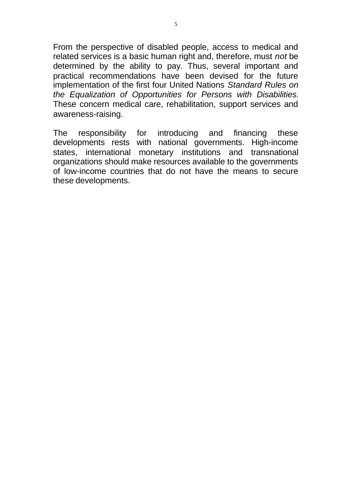From the perspective of disabled people, access to medical and related services is a basic human right and, therefore, must *not* be determined by the ability to pay. Thus, several important and practical recommendations have been devised for the future implementation of the first four United Nations *Standard Rules on the Equalization of Opportunities for Persons with Disabilities.*  These concern medical care, rehabilitation, support services and awareness-raising.

The responsibility for introducing and financing these developments rests with national governments. High-income states, international monetary institutions and transnational organizations should make resources available to the governments of low-income countries that do not have the means to secure these developments.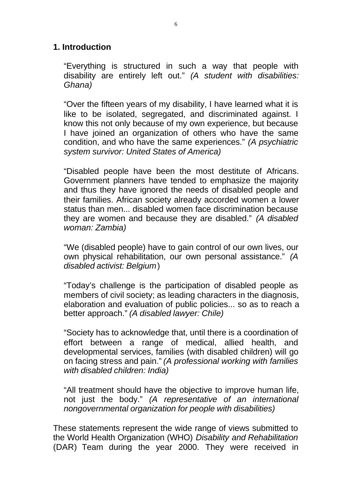#### **1. Introduction**

"Everything is structured in such a way that people with disability are entirely left out." *(A student with disabilities: Ghana)* 

"Over the fifteen years of my disability, I have learned what it is like to be isolated, segregated, and discriminated against. I know this not only because of my own experience, but because I have joined an organization of others who have the same condition, and who have the same experiences." *(A psychiatric system survivor: United States of America)* 

"Disabled people have been the most destitute of Africans. Government planners have tended to emphasize the majority and thus they have ignored the needs of disabled people and their families. African society already accorded women a lower status than men... disabled women face discrimination because they are women and because they are disabled." *(A disabled woman: Zambia)* 

"We (disabled people) have to gain control of our own lives, our own physical rehabilitation, our own personal assistance." *(A disabled activist: Belgium* )

"Today's challenge is the participation of disabled people as members of civil society; as leading characters in the diagnosis, elaboration and evaluation of public policies... so as to reach a better approach." *(A disabled lawyer: Chile)* 

"Society has to acknowledge that, until there is a coordination of effort between a range of medical, allied health, and developmental services, families (with disabled children) will go on facing stress and pain." *(A professional working with families with disabled children: India)* 

"All treatment should have the objective to improve human life, not just the body." *(A representative of an international nongovernmental organization for people with disabilities)* 

These statements represent the wide range of views submitted to the World Health Organization (WHO) *Disability and Rehabilitation*  (DAR) Team during the year 2000. They were received in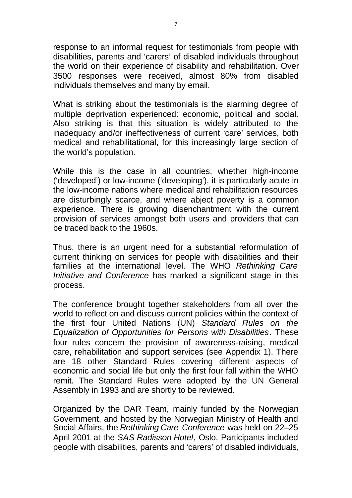response to an informal request for testimonials from people with disabilities, parents and 'carers' of disabled individuals throughout the world on their experience of disability and rehabilitation. Over 3500 responses were received, almost 80% from disabled individuals themselves and many by email.

What is striking about the testimonials is the alarming degree of multiple deprivation experienced: economic, political and social. Also striking is that this situation is widely attributed to the inadequacy and/or ineffectiveness of current 'care' services, both medical and rehabilitational, for this increasingly large section of the world's population.

While this is the case in all countries, whether high-income ('developed') or low-income ('developing'), it is particularly acute in the low-income nations where medical and rehabilitation resources are disturbingly scarce, and where abject poverty is a common experience. There is growing disenchantment with the current provision of services amongst both users and providers that can be traced back to the 1960s.

Thus, there is an urgent need for a substantial reformulation of current thinking on services for people with disabilities and their families at the international level. The WHO *Rethinking Care Initiative and Conference* has marked a significant stage in this process.

The conference brought together stakeholders from all over the world to reflect on and discuss current policies within the context of the first four United Nations (UN) *Standard Rules on the Equalization of Opportunities for Persons with Disabilities*. These four rules concern the provision of awareness-raising, medical care, rehabilitation and support services (see Appendix 1). There are 18 other Standard Rules covering different aspects of economic and social life but only the first four fall within the WHO remit. The Standard Rules were adopted by the UN General Assembly in 1993 and are shortly to be reviewed.

Organized by the DAR Team, mainly funded by the Norwegian Government, and hosted by the Norwegian Ministry of Health and Social Affairs, the *Rethinking Care Conference* was held on 22–25 April 2001 at the *SAS Radisson Hotel*, Oslo. Participants included people with disabilities, parents and 'carers' of disabled individuals,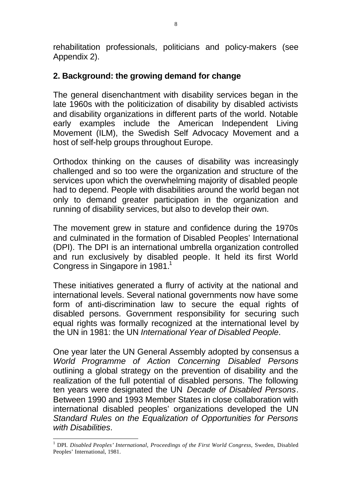rehabilitation professionals, politicians and policy-makers (see Appendix 2).

# **2. Background: the growing demand for change**

The general disenchantment with disability services began in the late 1960s with the politicization of disability by disabled activists and disability organizations in different parts of the world. Notable early examples include the American Independent Living Movement (ILM), the Swedish Self Advocacy Movement and a host of self-help groups throughout Europe.

Orthodox thinking on the causes of disability was increasingly challenged and so too were the organization and structure of the services upon which the overwhelming majority of disabled people had to depend. People with disabilities around the world began not only to demand greater participation in the organization and running of disability services, but also to develop their own.

The movement grew in stature and confidence during the 1970s and culminated in the formation of Disabled Peoples' International (DPI). The DPI is an international umbrella organization controlled and run exclusively by disabled people. It held its first World Congress in Singapore in 1981.<sup>1</sup>

These initiatives generated a flurry of activity at the national and international levels. Several national governments now have some form of anti-discrimination law to secure the equal rights of disabled persons. Government responsibility for securing such equal rights was formally recognized at the international level by the UN in 1981: the UN *International Year of Disabled People*.

One year later the UN General Assembly adopted by consensus a *World Programme of Action Concerning Disabled Persons*  outlining a global strategy on the prevention of disability and the realization of the full potential of disabled persons. The following ten years were designated the UN *Decade of Disabled Persons*. Between 1990 and 1993 Member States in close collaboration with international disabled peoples' organizations developed the UN *Standard Rules on the Equalization of Opportunities for Persons with Disabilities*.

<sup>&</sup>lt;sup>1</sup> DPI. *Disabled Peoples' International, Proceedings of the First World Congress, Sweden, Disabled* Peoples' International, 1981.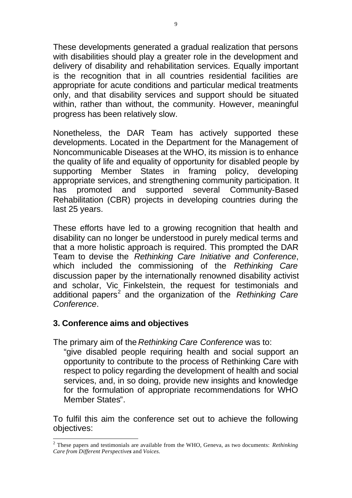These developments generated a gradual realization that persons with disabilities should play a greater role in the development and delivery of disability and rehabilitation services. Equally important is the recognition that in all countries residential facilities are appropriate for acute conditions and particular medical treatments only, and that disability services and support should be situated within, rather than without, the community. However, meaningful progress has been relatively slow.

Nonetheless, the DAR Team has actively supported these developments. Located in the Department for the Management of Noncommunicable Diseases at the WHO, its mission is to enhance the quality of life and equality of opportunity for disabled people by supporting Member States in framing policy, developing appropriate services, and strengthening community participation. It has promoted and supported several Community-Based Rehabilitation (CBR) projects in developing countries during the last 25 years.

These efforts have led to a growing recognition that health and disability can no longer be understood in purely medical terms and that a more holistic approach is required. This prompted the DAR Team to devise the *Rethinking Care Initiative and Conference*, which included the commissioning of the *Rethinking Care*  discussion paper by the internationally renowned disability activist and scholar, Vic Finkelstein, the request for testimonials and additional papers<sup>2</sup> and the organization of the *Rethinking Care Conference*.

#### **3. Conference aims and objectives**

The primary aim of the *Rethinking Care Conference* was to:

"give disabled people requiring health and social support an opportunity to contribute to the process of Rethinking Care with respect to policy regarding the development of health and social services, and, in so doing, provide new insights and knowledge for the formulation of appropriate recommendations for WHO Member States".

To fulfil this aim the conference set out to achieve the following objectives:

<sup>2</sup> These papers and testimonials are available from the WHO, Geneva, as two documents: *Rethinking Care from Different Perspectives* and *Voices.*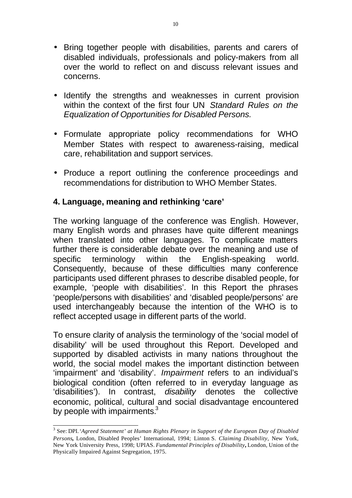- Bring together people with disabilities, parents and carers of disabled individuals, professionals and policy-makers from all over the world to reflect on and discuss relevant issues and concerns.
- Identify the strengths and weaknesses in current provision within the context of the first four UN *Standard Rules on the Equalization of Opportunities for Disabled Persons.*
- Formulate appropriate policy recommendations for WHO Member States with respect to awareness-raising, medical care, rehabilitation and support services.
- Produce a report outlining the conference proceedings and recommendations for distribution to WHO Member States.

# **4. Language, meaning and rethinking 'care'**

The working language of the conference was English. However, many English words and phrases have quite different meanings when translated into other languages. To complicate matters further there is considerable debate over the meaning and use of specific terminology within the English-speaking world. Consequently, because of these difficulties many conference participants used different phrases to describe disabled people, for example, 'people with disabilities'. In this Report the phrases 'people/persons with disabilities' and 'disabled people/persons' are used interchangeably because the intention of the WHO is to reflect accepted usage in different parts of the world.

To ensure clarity of analysis the terminology of the 'social model of disability' will be used throughout this Report. Developed and supported by disabled activists in many nations throughout the world, the social model makes the important distinction between 'impairment' and 'disability'. *Impairment* refers to an individual's biological condition (often referred to in everyday language as 'disabilities'). In contrast, *disability* denotes the collective economic, political, cultural and social disadvantage encountered by people with impairments. $3$ 

<sup>&</sup>lt;sup>3</sup> See: DPI. 'Agreed Statement' at Human Rights Plenary in Support of the European Day of Disabled *Persons***,** London, Disabled Peoples' International, 1994; Linton S. *Claiming Disability*, New York, New York University Press, 1998; UPIAS. *Fundamental Principles of Disability***,** London, Union of the Physically Impaired Against Segregation, 1975.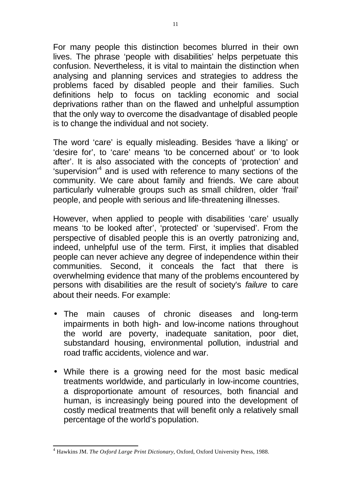For many people this distinction becomes blurred in their own lives. The phrase 'people with disabilities' helps perpetuate this confusion. Nevertheless, it is vital to maintain the distinction when analysing and planning services and strategies to address the problems faced by disabled people and their families. Such definitions help to focus on tackling economic and social deprivations rather than on the flawed and unhelpful assumption that the only way to overcome the disadvantage of disabled people is to change the individual and not society.

The word 'care' is equally misleading. Besides 'have a liking' or 'desire for', to 'care' means 'to be concerned about' or 'to look after'. It is also associated with the concepts of 'protection' and 'supervision'<sup>4</sup> and is used with reference to many sections of the community. We care about family and friends. We care about particularly vulnerable groups such as small children, older 'frail' people, and people with serious and life-threatening illnesses.

However, when applied to people with disabilities 'care' usually means 'to be looked after', 'protected' or 'supervised'. From the perspective of disabled people this is an overtly patronizing and, indeed, unhelpful use of the term. First, it implies that disabled people can never achieve any degree of independence within their communities. Second, it conceals the fact that there is overwhelming evidence that many of the problems encountered by persons with disabilities are the result of society's *failure* to care about their needs. For example:

- The main causes of chronic diseases and long-term impairments in both high- and low-income nations throughout the world are poverty, inadequate sanitation, poor diet, substandard housing, environmental pollution, industrial and road traffic accidents, violence and war.
- While there is a growing need for the most basic medical treatments worldwide, and particularly in low-income countries, a disproportionate amount of resources, both financial and human, is increasingly being poured into the development of costly medical treatments that will benefit only a relatively small percentage of the world's population.

<sup>4</sup> Hawkins JM. *The Oxford Large Print Dictionary*, Oxford, Oxford University Press, 1988.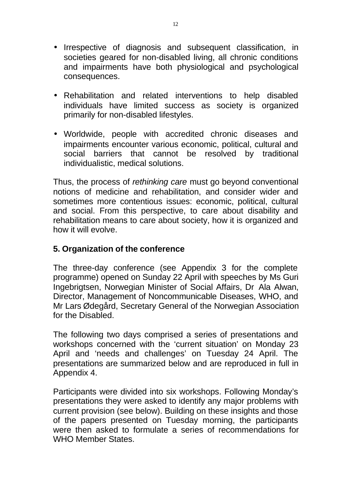- Irrespective of diagnosis and subsequent classification, in societies geared for non-disabled living, all chronic conditions and impairments have both physiological and psychological consequences.
- Rehabilitation and related interventions to help disabled individuals have limited success as society is organized primarily for non-disabled lifestyles.
- Worldwide, people with accredited chronic diseases and impairments encounter various economic, political, cultural and social barriers that cannot be resolved by traditional individualistic, medical solutions.

Thus, the process of *rethinking care* must go beyond conventional notions of medicine and rehabilitation, and consider wider and sometimes more contentious issues: economic, political, cultural and social. From this perspective, to care about disability and rehabilitation means to care about society, how it is organized and how it will evolve.

## **5. Organization of the conference**

The three-day conference (see Appendix 3 for the complete programme) opened on Sunday 22 April with speeches by Ms Guri Ingebrigtsen, Norwegian Minister of Social Affairs, Dr Ala Alwan, Director, Management of Noncommunicable Diseases, WHO, and Mr Lars Ødegård, Secretary General of the Norwegian Association for the Disabled.

The following two days comprised a series of presentations and workshops concerned with the 'current situation' on Monday 23 April and 'needs and challenges' on Tuesday 24 April. The presentations are summarized below and are reproduced in full in Appendix 4.

Participants were divided into six workshops. Following Monday's presentations they were asked to identify any major problems with current provision (see below). Building on these insights and those of the papers presented on Tuesday morning, the participants were then asked to formulate a series of recommendations for WHO Member States.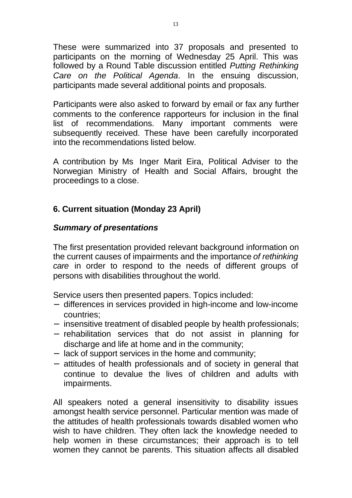These were summarized into 37 proposals and presented to participants on the morning of Wednesday 25 April. This was followed by a Round Table discussion entitled *Putting Rethinking Care on the Political Agenda*. In the ensuing discussion, participants made several additional points and proposals.

Participants were also asked to forward by email or fax any further comments to the conference rapporteurs for inclusion in the final list of recommendations. Many important comments were subsequently received. These have been carefully incorporated into the recommendations listed below.

A contribution by Ms Inger Marit Eira, Political Adviser to the Norwegian Ministry of Health and Social Affairs, brought the proceedings to a close.

# **6. Current situation (Monday 23 April)**

# *Summary of presentations*

The first presentation provided relevant background information on the current causes of impairments and the importance *of rethinking care* in order to respond to the needs of different groups of persons with disabilities throughout the world.

Service users then presented papers. Topics included:

- differences in services provided in high-income and low-income countries;
- insensitive treatment of disabled people by health professionals;
- rehabilitation services that do not assist in planning for discharge and life at home and in the community;
- lack of support services in the home and community;
- attitudes of health professionals and of society in general that continue to devalue the lives of children and adults with impairments.

All speakers noted a general insensitivity to disability issues amongst health service personnel. Particular mention was made of the attitudes of health professionals towards disabled women who wish to have children. They often lack the knowledge needed to help women in these circumstances; their approach is to tell women they cannot be parents. This situation affects all disabled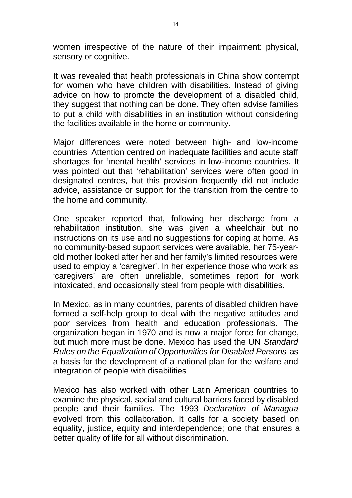women irrespective of the nature of their impairment: physical, sensory or cognitive.

It was revealed that health professionals in China show contempt for women who have children with disabilities. Instead of giving advice on how to promote the development of a disabled child, they suggest that nothing can be done. They often advise families to put a child with disabilities in an institution without considering the facilities available in the home or community.

Major differences were noted between high- and low-income countries. Attention centred on inadequate facilities and acute staff shortages for 'mental health' services in low-income countries. It was pointed out that 'rehabilitation' services were often good in designated centres, but this provision frequently did not include advice, assistance or support for the transition from the centre to the home and community.

One speaker reported that, following her discharge from a rehabilitation institution, she was given a wheelchair but no instructions on its use and no suggestions for coping at home. As no community-based support services were available, her 75-yearold mother looked after her and her family's limited resources were used to employ a 'caregiver'. In her experience those who work as 'caregivers' are often unreliable, sometimes report for work intoxicated, and occasionally steal from people with disabilities.

In Mexico, as in many countries, parents of disabled children have formed a self-help group to deal with the negative attitudes and poor services from health and education professionals. The organization began in 1970 and is now a major force for change, but much more must be done. Mexico has used the UN *Standard Rules on the Equalization of Opportunities for Disabled Persons* as a basis for the development of a national plan for the welfare and integration of people with disabilities.

Mexico has also worked with other Latin American countries to examine the physical, social and cultural barriers faced by disabled people and their families. The 1993 *Declaration of Managua*  evolved from this collaboration. It calls for a society based on equality, justice, equity and interdependence; one that ensures a better quality of life for all without discrimination.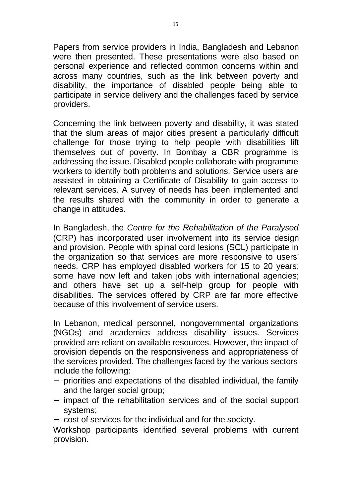Papers from service providers in India, Bangladesh and Lebanon were then presented. These presentations were also based on personal experience and reflected common concerns within and across many countries, such as the link between poverty and disability, the importance of disabled people being able to participate in service delivery and the challenges faced by service providers.

Concerning the link between poverty and disability, it was stated that the slum areas of major cities present a particularly difficult challenge for those trying to help people with disabilities lift themselves out of poverty. In Bombay a CBR programme is addressing the issue. Disabled people collaborate with programme workers to identify both problems and solutions. Service users are assisted in obtaining a Certificate of Disability to gain access to relevant services. A survey of needs has been implemented and the results shared with the community in order to generate a change in attitudes.

In Bangladesh, the *Centre for the Rehabilitation of the Paralysed* (CRP) has incorporated user involvement into its service design and provision. People with spinal cord lesions (SCL) participate in the organization so that services are more responsive to users' needs. CRP has employed disabled workers for 15 to 20 years; some have now left and taken jobs with international agencies; and others have set up a self-help group for people with disabilities. The services offered by CRP are far more effective because of this involvement of service users.

In Lebanon, medical personnel, nongovernmental organizations (NGOs) and academics address disability issues. Services provided are reliant on available resources. However, the impact of provision depends on the responsiveness and appropriateness of the services provided. The challenges faced by the various sectors include the following:

- priorities and expectations of the disabled individual, the family and the larger social group;
- impact of the rehabilitation services and of the social support systems;
- cost of services for the individual and for the society.

Workshop participants identified several problems with current provision.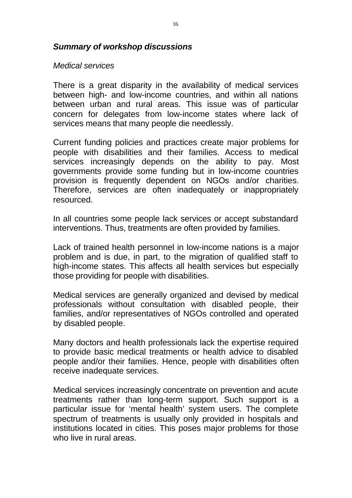#### *Summary of workshop discussions*

#### *Medical services*

There is a great disparity in the availability of medical services between high- and low-income countries, and within all nations between urban and rural areas. This issue was of particular concern for delegates from low-income states where lack of services means that many people die needlessly.

Current funding policies and practices create major problems for people with disabilities and their families. Access to medical services increasingly depends on the ability to pay. Most governments provide some funding but in low-income countries provision is frequently dependent on NGOs and/or charities. Therefore, services are often inadequately or inappropriately resourced.

In all countries some people lack services or accept substandard interventions. Thus, treatments are often provided by families.

Lack of trained health personnel in low-income nations is a major problem and is due, in part, to the migration of qualified staff to high-income states. This affects all health services but especially those providing for people with disabilities.

Medical services are generally organized and devised by medical professionals without consultation with disabled people, their families, and/or representatives of NGOs controlled and operated by disabled people.

Many doctors and health professionals lack the expertise required to provide basic medical treatments or health advice to disabled people and/or their families. Hence, people with disabilities often receive inadequate services.

Medical services increasingly concentrate on prevention and acute treatments rather than long-term support. Such support is a particular issue for 'mental health' system users. The complete spectrum of treatments is usually only provided in hospitals and institutions located in cities. This poses major problems for those who live in rural areas.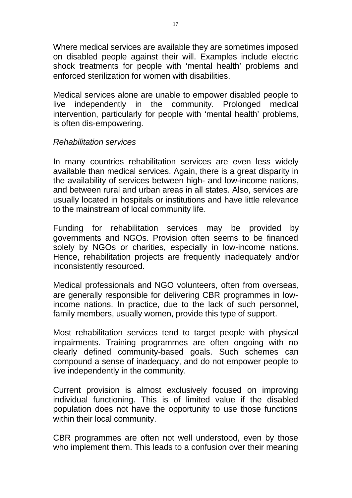Where medical services are available they are sometimes imposed on disabled people against their will. Examples include electric shock treatments for people with 'mental health' problems and enforced sterilization for women with disabilities.

Medical services alone are unable to empower disabled people to live independently in the community. Prolonged medical intervention, particularly for people with 'mental health' problems, is often dis-empowering.

#### *Rehabilitation services*

In many countries rehabilitation services are even less widely available than medical services. Again, there is a great disparity in the availability of services between high- and low-income nations, and between rural and urban areas in all states. Also, services are usually located in hospitals or institutions and have little relevance to the mainstream of local community life.

Funding for rehabilitation services may be provided by governments and NGOs. Provision often seems to be financed solely by NGOs or charities, especially in low-income nations. Hence, rehabilitation projects are frequently inadequately and/or inconsistently resourced.

Medical professionals and NGO volunteers, often from overseas, are generally responsible for delivering CBR programmes in lowincome nations. In practice, due to the lack of such personnel, family members, usually women, provide this type of support.

Most rehabilitation services tend to target people with physical impairments. Training programmes are often ongoing with no clearly defined community-based goals. Such schemes can compound a sense of inadequacy, and do not empower people to live independently in the community.

Current provision is almost exclusively focused on improving individual functioning. This is of limited value if the disabled population does not have the opportunity to use those functions within their local community.

CBR programmes are often not well understood, even by those who implement them. This leads to a confusion over their meaning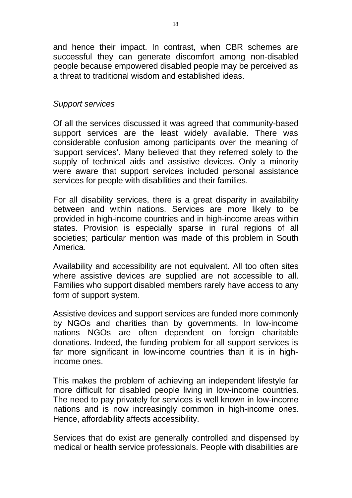and hence their impact. In contrast, when CBR schemes are successful they can generate discomfort among non-disabled people because empowered disabled people may be perceived as a threat to traditional wisdom and established ideas.

#### *Support services*

Of all the services discussed it was agreed that community-based support services are the least widely available. There was considerable confusion among participants over the meaning of 'support services'. Many believed that they referred solely to the supply of technical aids and assistive devices. Only a minority were aware that support services included personal assistance services for people with disabilities and their families.

For all disability services, there is a great disparity in availability between and within nations. Services are more likely to be provided in high-income countries and in high-income areas within states. Provision is especially sparse in rural regions of all societies; particular mention was made of this problem in South America.

Availability and accessibility are not equivalent. All too often sites where assistive devices are supplied are not accessible to all. Families who support disabled members rarely have access to any form of support system.

Assistive devices and support services are funded more commonly by NGOs and charities than by governments. In low-income nations NGOs are often dependent on foreign charitable donations. Indeed, the funding problem for all support services is far more significant in low-income countries than it is in highincome ones.

This makes the problem of achieving an independent lifestyle far more difficult for disabled people living in low-income countries. The need to pay privately for services is well known in low-income nations and is now increasingly common in high-income ones. Hence, affordability affects accessibility.

Services that do exist are generally controlled and dispensed by medical or health service professionals. People with disabilities are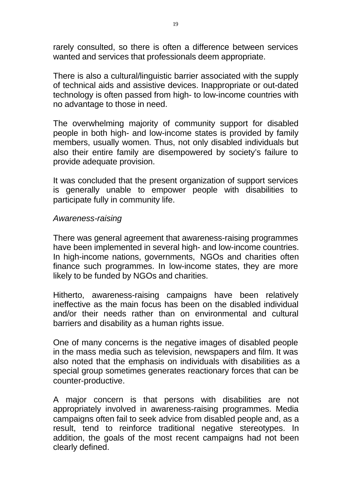rarely consulted, so there is often a difference between services wanted and services that professionals deem appropriate.

There is also a cultural/linguistic barrier associated with the supply of technical aids and assistive devices. Inappropriate or out-dated technology is often passed from high- to low-income countries with no advantage to those in need.

The overwhelming majority of community support for disabled people in both high- and low-income states is provided by family members, usually women. Thus, not only disabled individuals but also their entire family are disempowered by society's failure to provide adequate provision.

It was concluded that the present organization of support services is generally unable to empower people with disabilities to participate fully in community life.

#### *Awareness-raising*

There was general agreement that awareness-raising programmes have been implemented in several high- and low-income countries. In high-income nations, governments, NGOs and charities often finance such programmes. In low-income states, they are more likely to be funded by NGOs and charities.

Hitherto, awareness-raising campaigns have been relatively ineffective as the main focus has been on the disabled individual and/or their needs rather than on environmental and cultural barriers and disability as a human rights issue.

One of many concerns is the negative images of disabled people in the mass media such as television, newspapers and film. It was also noted that the emphasis on individuals with disabilities as a special group sometimes generates reactionary forces that can be counter-productive.

A major concern is that persons with disabilities are not appropriately involved in awareness-raising programmes. Media campaigns often fail to seek advice from disabled people and, as a result, tend to reinforce traditional negative stereotypes. In addition, the goals of the most recent campaigns had not been clearly defined.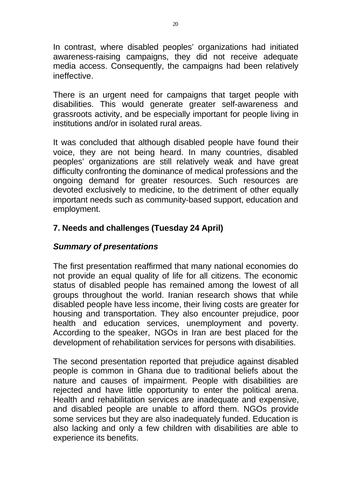In contrast, where disabled peoples' organizations had initiated awareness-raising campaigns, they did not receive adequate media access. Consequently, the campaigns had been relatively ineffective.

There is an urgent need for campaigns that target people with disabilities. This would generate greater self-awareness and grassroots activity, and be especially important for people living in institutions and/or in isolated rural areas.

It was concluded that although disabled people have found their voice, they are not being heard. In many countries, disabled peoples' organizations are still relatively weak and have great difficulty confronting the dominance of medical professions and the ongoing demand for greater resources. Such resources are devoted exclusively to medicine, to the detriment of other equally important needs such as community-based support, education and employment.

# **7. Needs and challenges (Tuesday 24 April)**

## *Summary of presentations*

The first presentation reaffirmed that many national economies do not provide an equal quality of life for all citizens. The economic status of disabled people has remained among the lowest of all groups throughout the world. Iranian research shows that while disabled people have less income, their living costs are greater for housing and transportation. They also encounter prejudice, poor health and education services, unemployment and poverty. According to the speaker, NGOs in Iran are best placed for the development of rehabilitation services for persons with disabilities.

The second presentation reported that prejudice against disabled people is common in Ghana due to traditional beliefs about the nature and causes of impairment. People with disabilities are rejected and have little opportunity to enter the political arena. Health and rehabilitation services are inadequate and expensive, and disabled people are unable to afford them. NGOs provide some services but they are also inadequately funded. Education is also lacking and only a few children with disabilities are able to experience its benefits.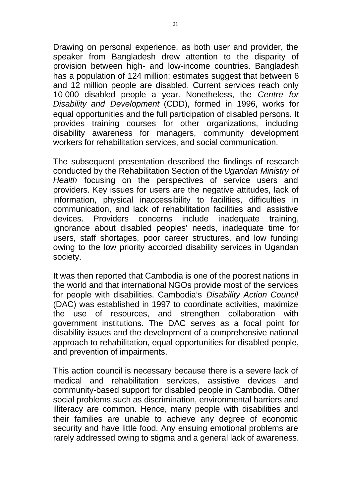Drawing on personal experience, as both user and provider, the speaker from Bangladesh drew attention to the disparity of provision between high- and low-income countries. Bangladesh has a population of 124 million; estimates suggest that between 6 and 12 million people are disabled. Current services reach only 10 000 disabled people a year. Nonetheless, the *Centre for Disability and Development* (CDD), formed in 1996, works for equal opportunities and the full participation of disabled persons. It provides training courses for other organizations, including disability awareness for managers, community development workers for rehabilitation services, and social communication.

The subsequent presentation described the findings of research conducted by the Rehabilitation Section of the *Ugandan Ministry of Health* focusing on the perspectives of service users and providers. Key issues for users are the negative attitudes, lack of information, physical inaccessibility to facilities, difficulties in communication, and lack of rehabilitation facilities and assistive devices. Providers concerns include inadequate training, ignorance about disabled peoples' needs, inadequate time for users, staff shortages, poor career structures, and low funding owing to the low priority accorded disability services in Ugandan society.

It was then reported that Cambodia is one of the poorest nations in the world and that international NGOs provide most of the services for people with disabilities. Cambodia's *Disability Action Council*  (DAC) was established in 1997 to coordinate activities, maximize the use of resources, and strengthen collaboration with government institutions. The DAC serves as a focal point for disability issues and the development of a comprehensive national approach to rehabilitation, equal opportunities for disabled people, and prevention of impairments.

This action council is necessary because there is a severe lack of medical and rehabilitation services, assistive devices and community-based support for disabled people in Cambodia. Other social problems such as discrimination, environmental barriers and illiteracy are common. Hence, many people with disabilities and their families are unable to achieve any degree of economic security and have little food. Any ensuing emotional problems are rarely addressed owing to stigma and a general lack of awareness.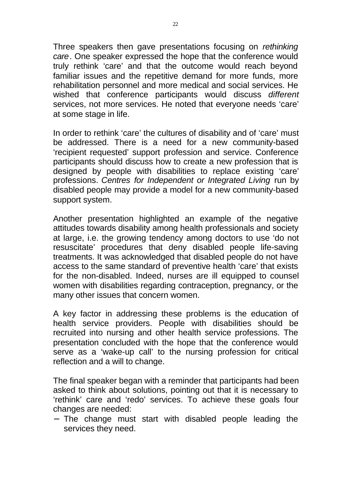Three speakers then gave presentations focusing on *rethinking care*. One speaker expressed the hope that the conference would truly rethink 'care' and that the outcome would reach beyond familiar issues and the repetitive demand for more funds, more rehabilitation personnel and more medical and social services. He wished that conference participants would discuss *different*  services, not more services. He noted that everyone needs 'care' at some stage in life.

In order to rethink 'care' the cultures of disability and of 'care' must be addressed. There is a need for a new community-based 'recipient requested' support profession and service. Conference participants should discuss how to create a new profession that is designed by people with disabilities to replace existing 'care' professions. *Centres for Independent or Integrated Living* run by disabled people may provide a model for a new community-based support system.

Another presentation highlighted an example of the negative attitudes towards disability among health professionals and society at large, i.e. the growing tendency among doctors to use 'do not resuscitate' procedures that deny disabled people life-saving treatments. It was acknowledged that disabled people do not have access to the same standard of preventive health 'care' that exists for the non-disabled. Indeed, nurses are ill equipped to counsel women with disabilities regarding contraception, pregnancy, or the many other issues that concern women.

A key factor in addressing these problems is the education of health service providers. People with disabilities should be recruited into nursing and other health service professions. The presentation concluded with the hope that the conference would serve as a 'wake-up call' to the nursing profession for critical reflection and a will to change.

The final speaker began with a reminder that participants had been asked to think about solutions, pointing out that it is necessary to 'rethink' care and 'redo' services. To achieve these goals four changes are needed:

- The change must start with disabled people leading the services they need.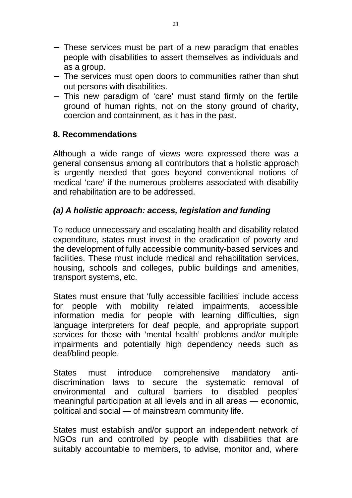- These services must be part of a new paradigm that enables people with disabilities to assert themselves as individuals and as a group.
- The services must open doors to communities rather than shut out persons with disabilities.
- This new paradigm of 'care' must stand firmly on the fertile ground of human rights, not on the stony ground of charity, coercion and containment, as it has in the past.

# **8. Recommendations**

Although a wide range of views were expressed there was a general consensus among all contributors that a holistic approach is urgently needed that goes beyond conventional notions of medical 'care' if the numerous problems associated with disability and rehabilitation are to be addressed.

# *(a) A holistic approach: access, legislation and funding*

To reduce unnecessary and escalating health and disability related expenditure, states must invest in the eradication of poverty and the development of fully accessible community-based services and facilities. These must include medical and rehabilitation services, housing, schools and colleges, public buildings and amenities, transport systems, etc.

States must ensure that 'fully accessible facilities' include access for people with mobility related impairments, accessible information media for people with learning difficulties, sign language interpreters for deaf people, and appropriate support services for those with 'mental health' problems and/or multiple impairments and potentially high dependency needs such as deaf/blind people.

States must introduce comprehensive mandatory antidiscrimination laws to secure the systematic removal of environmental and cultural barriers to disabled peoples' meaningful participation at all levels and in all areas — economic, political and social — of mainstream community life.

States must establish and/or support an independent network of NGOs run and controlled by people with disabilities that are suitably accountable to members, to advise, monitor and, where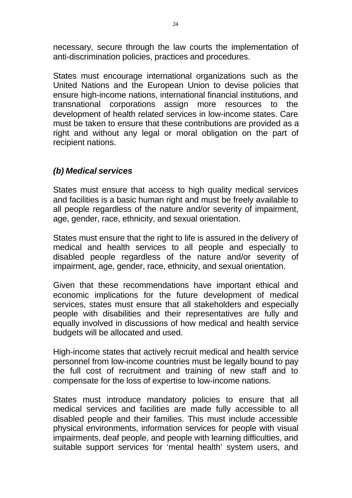necessary, secure through the law courts the implementation of anti-discrimination policies, practices and procedures.

States must encourage international organizations such as the United Nations and the European Union to devise policies that ensure high-income nations, international financial institutions, and transnational corporations assign more resources to the development of health related services in low-income states. Care must be taken to ensure that these contributions are provided as a right and without any legal or moral obligation on the part of recipient nations.

# *(b) Medical services*

States must ensure that access to high quality medical services and facilities is a basic human right and must be freely available to all people regardless of the nature and/or severity of impairment, age, gender, race, ethnicity, and sexual orientation.

States must ensure that the right to life is assured in the delivery of medical and health services to all people and especially to disabled people regardless of the nature and/or severity of impairment, age, gender, race, ethnicity, and sexual orientation.

Given that these recommendations have important ethical and economic implications for the future development of medical services, states must ensure that all stakeholders and especially people with disabilities and their representatives are fully and equally involved in discussions of how medical and health service budgets will be allocated and used.

High-income states that actively recruit medical and health service personnel from low-income countries must be legally bound to pay the full cost of recruitment and training of new staff and to compensate for the loss of expertise to low-income nations.

States must introduce mandatory policies to ensure that all medical services and facilities are made fully accessible to all disabled people and their families. This must include accessible physical environments, information services for people with visual impairments, deaf people, and people with learning difficulties, and suitable support services for 'mental health' system users, and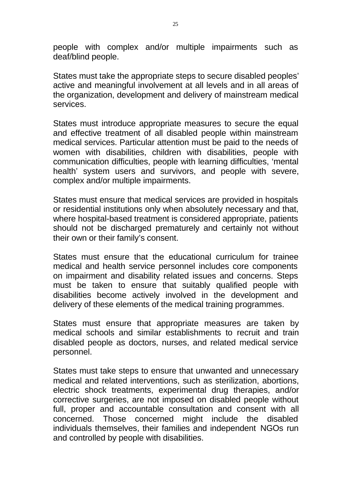people with complex and/or multiple impairments such as deaf/blind people.

States must take the appropriate steps to secure disabled peoples' active and meaningful involvement at all levels and in all areas of the organization, development and delivery of mainstream medical services.

States must introduce appropriate measures to secure the equal and effective treatment of all disabled people within mainstream medical services. Particular attention must be paid to the needs of women with disabilities, children with disabilities, people with communication difficulties, people with learning difficulties, 'mental health' system users and survivors, and people with severe, complex and/or multiple impairments.

States must ensure that medical services are provided in hospitals or residential institutions only when absolutely necessary and that, where hospital-based treatment is considered appropriate, patients should not be discharged prematurely and certainly not without their own or their family's consent.

States must ensure that the educational curriculum for trainee medical and health service personnel includes core components on impairment and disability related issues and concerns. Steps must be taken to ensure that suitably qualified people with disabilities become actively involved in the development and delivery of these elements of the medical training programmes.

States must ensure that appropriate measures are taken by medical schools and similar establishments to recruit and train disabled people as doctors, nurses, and related medical service personnel.

States must take steps to ensure that unwanted and unnecessary medical and related interventions, such as sterilization, abortions, electric shock treatments, experimental drug therapies, and/or corrective surgeries, are not imposed on disabled people without full, proper and accountable consultation and consent with all concerned. Those concerned might include the disabled individuals themselves, their families and independent NGOs run and controlled by people with disabilities.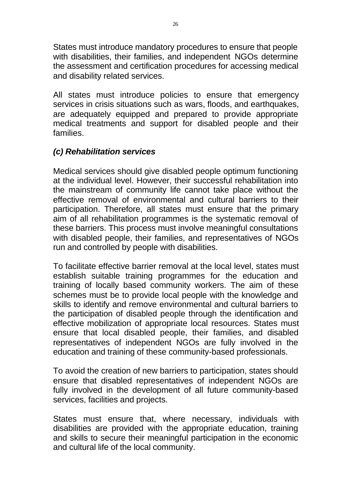States must introduce mandatory procedures to ensure that people with disabilities, their families, and independent NGOs determine the assessment and certification procedures for accessing medical and disability related services.

All states must introduce policies to ensure that emergency services in crisis situations such as wars, floods, and earthquakes, are adequately equipped and prepared to provide appropriate medical treatments and support for disabled people and their families.

# *(c) Rehabilitation services*

Medical services should give disabled people optimum functioning at the individual level. However, their successful rehabilitation into the mainstream of community life cannot take place without the effective removal of environmental and cultural barriers to their participation. Therefore, all states must ensure that the primary aim of all rehabilitation programmes is the systematic removal of these barriers. This process must involve meaningful consultations with disabled people, their families, and representatives of NGOs run and controlled by people with disabilities.

To facilitate effective barrier removal at the local level, states must establish suitable training programmes for the education and training of locally based community workers. The aim of these schemes must be to provide local people with the knowledge and skills to identify and remove environmental and cultural barriers to the participation of disabled people through the identification and effective mobilization of appropriate local resources. States must ensure that local disabled people, their families, and disabled representatives of independent NGOs are fully involved in the education and training of these community-based professionals.

To avoid the creation of new barriers to participation, states should ensure that disabled representatives of independent NGOs are fully involved in the development of all future community-based services, facilities and projects.

States must ensure that, where necessary, individuals with disabilities are provided with the appropriate education, training and skills to secure their meaningful participation in the economic and cultural life of the local community.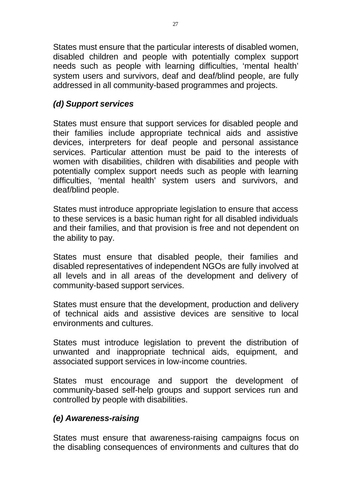States must ensure that the particular interests of disabled women, disabled children and people with potentially complex support needs such as people with learning difficulties, 'mental health' system users and survivors, deaf and deaf/blind people, are fully addressed in all community-based programmes and projects.

# *(d) Support services*

States must ensure that support services for disabled people and their families include appropriate technical aids and assistive devices, interpreters for deaf people and personal assistance services. Particular attention must be paid to the interests of women with disabilities, children with disabilities and people with potentially complex support needs such as people with learning difficulties, 'mental health' system users and survivors, and deaf/blind people.

States must introduce appropriate legislation to ensure that access to these services is a basic human right for all disabled individuals and their families, and that provision is free and not dependent on the ability to pay.

States must ensure that disabled people, their families and disabled representatives of independent NGOs are fully involved at all levels and in all areas of the development and delivery of community-based support services.

States must ensure that the development, production and delivery of technical aids and assistive devices are sensitive to local environments and cultures.

States must introduce legislation to prevent the distribution of unwanted and inappropriate technical aids, equipment, and associated support services in low-income countries.

States must encourage and support the development of community-based self-help groups and support services run and controlled by people with disabilities.

# *(e) Awareness-raising*

States must ensure that awareness-raising campaigns focus on the disabling consequences of environments and cultures that do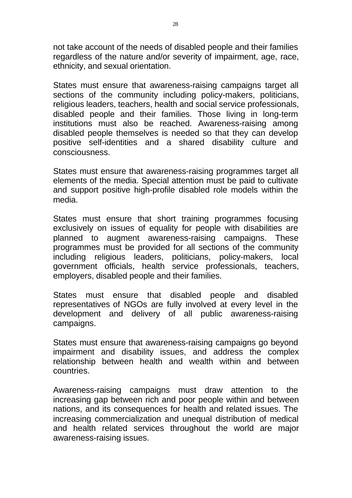not take account of the needs of disabled people and their families regardless of the nature and/or severity of impairment, age, race, ethnicity, and sexual orientation.

States must ensure that awareness-raising campaigns target all sections of the community including policy-makers, politicians, religious leaders, teachers, health and social service professionals, disabled people and their families. Those living in long-term institutions must also be reached. Awareness-raising among disabled people themselves is needed so that they can develop positive self-identities and a shared disability culture and consciousness.

States must ensure that awareness-raising programmes target all elements of the media. Special attention must be paid to cultivate and support positive high-profile disabled role models within the media.

States must ensure that short training programmes focusing exclusively on issues of equality for people with disabilities are planned to augment awareness-raising campaigns. These programmes must be provided for all sections of the community including religious leaders, politicians, policy-makers, local government officials, health service professionals, teachers, employers, disabled people and their families.

States must ensure that disabled people and disabled representatives of NGOs are fully involved at every level in the development and delivery of all public awareness-raising campaigns.

States must ensure that awareness-raising campaigns go beyond impairment and disability issues, and address the complex relationship between health and wealth within and between countries.

Awareness-raising campaigns must draw attention to the increasing gap between rich and poor people within and between nations, and its consequences for health and related issues. The increasing commercialization and unequal distribution of medical and health related services throughout the world are major awareness-raising issues.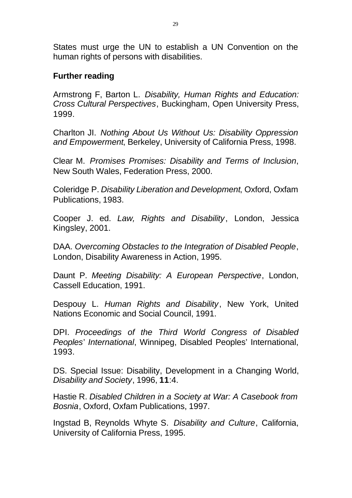States must urge the UN to establish a UN Convention on the human rights of persons with disabilities.

#### **Further reading**

Armstrong F, Barton L. *Disability, Human Rights and Education: Cross Cultural Perspectives*, Buckingham, Open University Press, 1999.

Charlton JI. *Nothing About Us Without Us: Disability Oppression and Empowerment*, Berkeley, University of California Press, 1998.

Clear M. *Promises Promises: Disability and Terms of Inclusion*, New South Wales, Federation Press, 2000.

Coleridge P. *Disability Liberation and Development*, Oxford, Oxfam Publications, 1983.

Cooper J. ed. *Law, Rights and Disability* , London, Jessica Kingsley, 2001.

DAA. *Overcoming Obstacles to the Integration of Disabled People*, London, Disability Awareness in Action, 1995.

Daunt P. *Meeting Disability: A European Perspective*, London, Cassell Education, 1991.

Despouy L. *Human Rights and Disability* , New York, United Nations Economic and Social Council, 1991.

DPI. *Proceedings of the Third World Congress of Disabled Peoples*' *International*, Winnipeg, Disabled Peoples' International, 1993.

DS. Special Issue: Disability, Development in a Changing World, *Disability and Society*, 1996, **11**:4.

Hastie R. *Disabled Children in a Society at War: A Casebook from Bosnia*, Oxford, Oxfam Publications, 1997.

Ingstad B, Reynolds Whyte S. *Disability and Culture*, California, University of California Press, 1995.